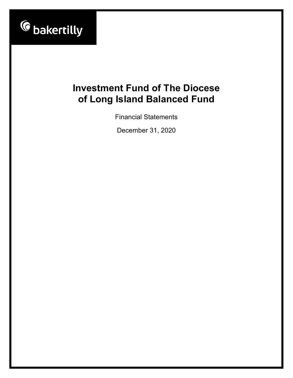

Financial Statements

December 31, 2020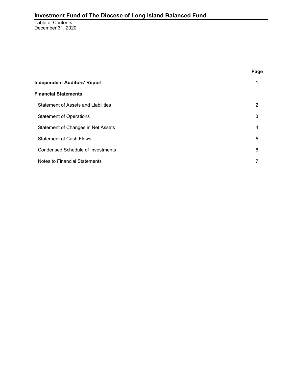Table of Contents December 31, 2020

|                                          | Page |
|------------------------------------------|------|
| <b>Independent Auditors' Report</b>      |      |
| <b>Financial Statements</b>              |      |
| Statement of Assets and Liabilities      | 2    |
| <b>Statement of Operations</b>           | 3    |
| Statement of Changes in Net Assets       | 4    |
| <b>Statement of Cash Flows</b>           | 5    |
| <b>Condensed Schedule of Investments</b> | 6    |
| <b>Notes to Financial Statements</b>     |      |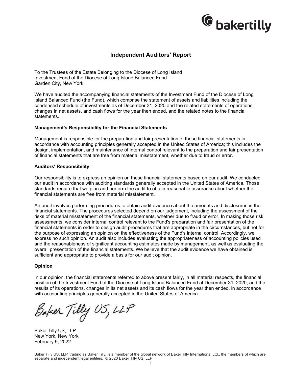

### **Independent Auditors' Report**

To the Trustees of the Estate Belonging to the Diocese of Long Island Investment Fund of the Diocese of Long Island Balanced Fund Garden City, New York

We have audited the accompanying financial statements of the Investment Fund of the Diocese of Long Island Balanced Fund (the Fund), which comprise the statement of assets and liabilities including the condensed schedule of investments as of December 31, 2020 and the related statements of operations, changes in net assets, and cash flows for the year then ended, and the related notes to the financial statements.

#### **Management's Responsibility for the Financial Statements**

Management is responsible for the preparation and fair presentation of these financial statements in accordance with accounting principles generally accepted in the United States of America; this includes the design, implementation, and maintenance of internal control relevant to the preparation and fair presentation of financial statements that are free from material misstatement, whether due to fraud or error.

#### **Auditors' Responsibility**

Our responsibility is to express an opinion on these financial statements based on our audit. We conducted our audit in accordance with auditing standards generally accepted in the United States of America. Those standards require that we plan and perform the audit to obtain reasonable assurance about whether the financial statements are free from material misstatement.

An audit involves performing procedures to obtain audit evidence about the amounts and disclosures in the financial statements. The procedures selected depend on our judgement, including the assessment of the risks of material misstatement of the financial statements, whether due to fraud or error. In making those risk assessments, we consider internal control relevant to the Fund's preparation and fair presentation of the financial statements in order to design audit procedures that are appropriate in the circumstances, but not for the purpose of expressing an opinion on the effectiveness of the Fund's internal control. Accordingly, we express no such opinion. An audit also includes evaluating the appropriateness of accounting policies used and the reasonableness of significant accounting estimates made by management, as well as evaluating the overall presentation of the financial statements. We believe that the audit evidence we have obtained is sufficient and appropriate to provide a basis for our audit opinion.

#### **Opinion**

In our opinion, the financial statements referred to above present fairly, in all material respects, the financial position of the Investment Fund of the Diocese of Long Island Balanced Fund at December 31, 2020, and the results of its operations, changes in its net assets and its cash flows for the year then ended, in accordance with accounting principles generally accepted in the United States of America.

Baker Tilly US, LLP

Baker Tilly US, LLP New York, New York February 9, 2022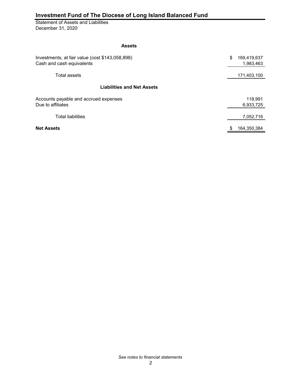Statement of Assets and Liabilities December 31, 2020

#### **Assets**

| Investments, at fair value (cost \$143,058,898)<br>Cash and cash equivalents | \$<br>169,419,637<br>1,983,463 |
|------------------------------------------------------------------------------|--------------------------------|
| Total assets                                                                 | 171,403,100                    |
| <b>Liabilities and Net Assets</b>                                            |                                |
| Accounts payable and accrued expenses<br>Due to affiliates                   | 118.991<br>6,933,725           |
| <b>Total liabilities</b>                                                     | 7,052,716                      |
| <b>Net Assets</b>                                                            | \$<br>164.350.384              |

*See notes to financial statements*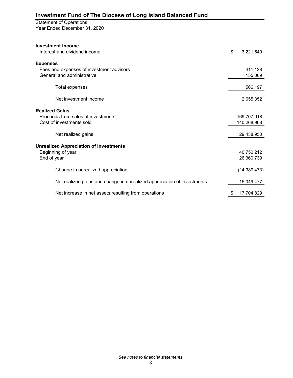#### Statement of Operations

Year Ended December 31, 2020

| <b>Investment Income</b><br>Interest and dividend income                | \$ | 3,221,549                  |
|-------------------------------------------------------------------------|----|----------------------------|
| <b>Expenses</b>                                                         |    |                            |
| Fees and expenses of investment advisors<br>General and administrative  |    | 411,128<br>155,069         |
| Total expenses                                                          |    | 566,197                    |
| Net investment income                                                   |    | 2,655,352                  |
| <b>Realized Gains</b>                                                   |    |                            |
| Proceeds from sales of investments<br>Cost of investments sold          |    | 169,707,918<br>140,268,968 |
| Net realized gains                                                      |    | 29,438,950                 |
| <b>Unrealized Appreciation of Investments</b>                           |    |                            |
| Beginning of year                                                       |    | 40,750,212                 |
| End of year                                                             |    | 26,360,739                 |
| Change in unrealized appreciation                                       |    | (14, 389, 473)             |
| Net realized gains and change in unrealized appreciation of investments |    | 15,049,477                 |
| Net increase in net assets resulting from operations                    | S  | 17,704,829                 |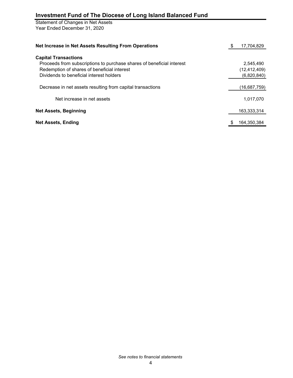Statement of Changes in Net Assets Year Ended December 31, 2020

| Net Increase in Net Assets Resulting From Operations                  | 17,704,829     |
|-----------------------------------------------------------------------|----------------|
| <b>Capital Transactions</b>                                           |                |
| Proceeds from subscriptions to purchase shares of beneficial interest | 2.545.490      |
| Redemption of shares of beneficial interest                           | (12, 412, 409) |
| Dividends to beneficial interest holders                              | (6,820,840)    |
| Decrease in net assets resulting from capital transactions            | (16,687,759)   |
| Net increase in net assets                                            | 1,017,070      |
| <b>Net Assets, Beginning</b>                                          | 163.333.314    |
| <b>Net Assets, Ending</b>                                             | 164,350,384    |
|                                                                       |                |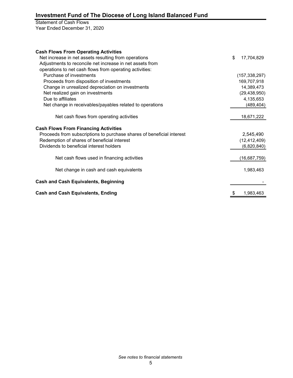### Statement of Cash Flows Year Ended December 31, 2020

| <b>Cash Flows From Operating Activities</b>                           |                  |
|-----------------------------------------------------------------------|------------------|
| Net increase in net assets resulting from operations                  | \$<br>17,704,829 |
| Adjustments to reconcile net increase in net assets from              |                  |
| operations to net cash flows from operating activities:               |                  |
| Purchase of investments                                               | (157, 338, 297)  |
| Proceeds from disposition of investments                              | 169,707,918      |
| Change in unrealized depreciation on investments                      | 14,389,473       |
| Net realized gain on investments                                      | (29, 438, 950)   |
| Due to affiliates                                                     | 4,135,653        |
| Net change in receivables/payables related to operations              | (489, 404)       |
| Net cash flows from operating activities                              | 18,671,222       |
| <b>Cash Flows From Financing Activities</b>                           |                  |
| Proceeds from subscriptions to purchase shares of beneficial interest | 2,545,490        |
| Redemption of shares of beneficial interest                           | (12, 412, 409)   |
| Dividends to beneficial interest holders                              | (6,820,840)      |
| Net cash flows used in financing activities                           | (16,687,759)     |
| Net change in cash and cash equivalents                               | 1,983,463        |
| <b>Cash and Cash Equivalents, Beginning</b>                           |                  |
| <b>Cash and Cash Equivalents, Ending</b>                              | 1,983,463        |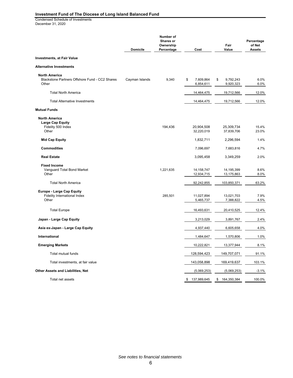Condensed Schedule of Investments December 31, 2020

|                                                                                 | <b>Domicile</b> | Number of<br>Shares or<br>Ownership<br>Percentage | Cost                         | Fair<br>Value                | Percentage<br>of Net<br><b>Assets</b> |
|---------------------------------------------------------------------------------|-----------------|---------------------------------------------------|------------------------------|------------------------------|---------------------------------------|
| <b>Investments, at Fair Value</b>                                               |                 |                                                   |                              |                              |                                       |
| <b>Alternative Investments</b>                                                  |                 |                                                   |                              |                              |                                       |
| <b>North America</b><br>Blackstone Partners Offshore Fund - CC2 Shares<br>Other | Cayman Islands  | 9,340                                             | 7,609,864<br>\$<br>6,854,611 | 9,792,243<br>\$<br>9,920,323 | 6.0%<br>6.0%                          |
| <b>Total North America</b>                                                      |                 |                                                   | 14,464,475                   | 19,712,566                   | 12.0%                                 |
| <b>Total Alternative Investments</b>                                            |                 |                                                   | 14,464,475                   | 19,712,566                   | 12.0%                                 |
| <b>Mutual Funds</b>                                                             |                 |                                                   |                              |                              |                                       |
| <b>North America</b><br><b>Large Cap Equity</b><br>Fidelity 500 Index<br>Other  |                 | 194,436                                           | 20,904,508<br>32,220,019     | 25,309,734<br>37,839,706     | 15.4%<br>23.0%                        |
| <b>Mid Cap Equity</b>                                                           |                 |                                                   | 1,832,711                    | 2,296,594                    | 1.4%                                  |
| <b>Commodities</b>                                                              |                 |                                                   | 7,096,697                    | 7,683,816                    | 4.7%                                  |
| <b>Real Estate</b>                                                              |                 |                                                   | 3,095,458                    | 3,349,259                    | 2.0%                                  |
| <b>Fixed Income</b><br>Vanquard Total Bond Market<br>Other                      |                 | 1,221,635                                         | 14, 158, 747<br>12,934,715   | 14,195,399<br>13,175,863     | 8.6%<br>8.0%                          |
| <b>Total North America</b>                                                      |                 |                                                   | 92,242,855                   | 103,850,371                  | 63.2%                                 |
| <b>Europe - Large Cap Equity</b><br>Fidelity International Index<br>Other       |                 | 285,501                                           | 11,027,894<br>5,465,737      | 13,021,703<br>7,388,822      | 7.9%<br>4.5%                          |
| <b>Total Europe</b>                                                             |                 |                                                   | 16,493,631                   | 20,410,525                   | 12.4%                                 |
| Japan - Large Cap Equity                                                        |                 |                                                   | 3,213,029                    | 3,891,767                    | 2.4%                                  |
| Asia ex-Japan - Large Cap Equity                                                |                 |                                                   | 4,937,440                    | 6,605,658                    | 4.0%                                  |
| International                                                                   |                 |                                                   | 1,484,647                    | 1,570,806                    | 1.0%                                  |
| <b>Emerging Markets</b>                                                         |                 |                                                   | 10,222,821                   | 13,377,944                   | 8.1%                                  |
| Total mutual funds                                                              |                 |                                                   | 128,594,423                  | 149,707,071                  | 91.1%                                 |
| Total investments, at fair value                                                |                 |                                                   | 143,058,898                  | 169,419,637                  | 103.1%                                |
| Other Assets and Liabilities, Net                                               |                 |                                                   | (5,069,253)                  | (5,069,253)                  | $-3.1%$                               |
| Total net assets                                                                |                 |                                                   | \$137,989,645                | \$164,350,384                | 100.0%                                |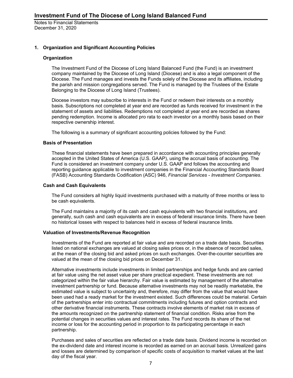#### **1. Organization and Significant Accounting Policies**

#### **Organization**

The Investment Fund of the Diocese of Long Island Balanced Fund (the Fund) is an investment company maintained by the Diocese of Long Island (Diocese) and is also a legal component of the Diocese. The Fund manages and invests the Funds solely of the Diocese and its affiliates, including the parish and mission congregations served. The Fund is managed by the Trustees of the Estate Belonging to the Diocese of Long Island (Trustees).

Diocese investors may subscribe to interests in the Fund or redeem their interests on a monthly basis. Subscriptions not completed at year end are recorded as funds received for investment in the statement of assets and liabilities. Redemptions not completed at year end are recorded as shares pending redemption. Income is allocated pro rata to each investor on a monthly basis based on their respective ownership interest.

The following is a summary of significant accounting policies followed by the Fund:

#### **Basis of Presentation**

These financial statements have been prepared in accordance with accounting principles generally accepted in the United States of America (U.S. GAAP), using the accrual basis of accounting. The Fund is considered an investment company under U.S. GAAP and follows the accounting and reporting guidance applicable to investment companies in the Financial Accounting Standards Board (FASB) Accounting Standards Codification (ASC) 946, *Financial Services - Investment Companies*.

#### **Cash and Cash Equivalents**

The Fund considers all highly liquid investments purchased with a maturity of three months or less to be cash equivalents.

The Fund maintains a majority of its cash and cash equivalents with two financial institutions, and generally, such cash and cash equivalents are in excess of federal insurance limits. There have been no historical losses with respect to balances held in excess of federal insurance limits.

#### **Valuation of Investments/Revenue Recognition**

Investments of the Fund are reported at fair value and are recorded on a trade date basis. Securities listed on national exchanges are valued at closing sales prices or, in the absence of recorded sales, at the mean of the closing bid and asked prices on such exchanges. Over-the-counter securities are valued at the mean of the closing bid prices on December 31.

Alternative investments include investments in limited partnerships and hedge funds and are carried at fair value using the net asset value per share practical expedient. These investments are not categorized within the fair value hierarchy. Fair value is estimated by management of the alternative investment partnership or fund. Because alternative investments may not be readily marketable, the estimated value is subject to uncertainty and, therefore, may differ from the value that would have been used had a ready market for the investment existed. Such differences could be material. Certain of the partnerships enter into contractual commitments including futures and option contracts and other derivative financial instruments. These contracts involve elements of market risk in excess of the amounts recognized on the partnership statement of financial condition. Risks arise from the potential changes in securities values and interest rates. The Fund records its share of the net income or loss for the accounting period in proportion to its participating percentage in each partnership.

Purchases and sales of securities are reflected on a trade date basis. Dividend income is recorded on the ex-dividend date and interest income is recorded as earned on an accrual basis. Unrealized gains and losses are determined by comparison of specific costs of acquisition to market values at the last day of the fiscal year.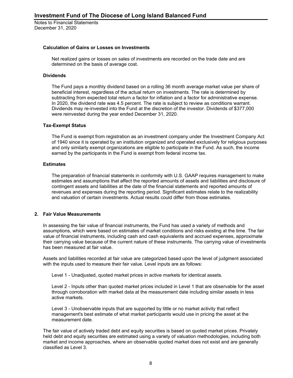#### **Calculation of Gains or Losses on Investments**

Net realized gains or losses on sales of investments are recorded on the trade date and are determined on the basis of average cost.

#### **Dividends**

The Fund pays a monthly dividend based on a rolling 36 month average market value per share of beneficial interest, regardless of the actual return on investments. The rate is determined by subtracting from expected total return a factor for inflation and a factor for administrative expense. In 2020, the dividend rate was 4.5 percent. The rate is subject to review as conditions warrant. Dividends may re-invested into the Fund at the discretion of the investor. Dividends of \$377,000 were reinvested during the year ended December 31, 2020.

#### **Tax-Exempt Status**

The Fund is exempt from registration as an investment company under the Investment Company Act of 1940 since it is operated by an institution organized and operated exclusively for religious purposes and only similarly exempt organizations are eligible to participate in the Fund. As such, the income earned by the participants in the Fund is exempt from federal income tax.

#### **Estimates**

The preparation of financial statements in conformity with U.S. GAAP requires management to make estimates and assumptions that affect the reported amounts of assets and liabilities and disclosure of contingent assets and liabilities at the date of the financial statements and reported amounts of revenues and expenses during the reporting period. Significant estimates relate to the realizability and valuation of certain investments. Actual results could differ from those estimates.

#### **2. Fair Value Measurements**

In assessing the fair value of financial instruments, the Fund has used a variety of methods and assumptions, which were based on estimates of market conditions and risks existing at the time. The fair value of financial instruments, including cash and cash equivalents and accrued expenses, approximate their carrying value because of the current nature of these instruments. The carrying value of investments has been measured at fair value.

Assets and liabilities recorded at fair value are categorized based upon the level of judgment associated with the inputs used to measure their fair value. Level inputs are as follows:

Level 1 - Unadjusted, quoted market prices in active markets for identical assets.

Level 2 - Inputs other than quoted market prices included in Level 1 that are observable for the asset through corroboration with market data at the measurement date including similar assets in less active markets.

Level 3 - Unobservable inputs that are supported by little or no market activity that reflect management's best estimate of what market participants would use in pricing the asset at the measurement date.

The fair value of actively traded debt and equity securities is based on quoted market prices. Privately held debt and equity securities are estimated using a variety of valuation methodologies, including both market and income approaches, where an observable quoted market does not exist and are generally classified as Level 3.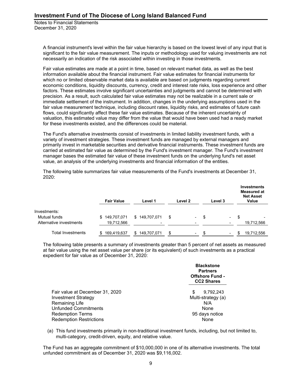> A financial instrument's level within the fair value hierarchy is based on the lowest level of any input that is significant to the fair value measurement. The inputs or methodology used for valuing investments are not necessarily an indication of the risk associated within investing in those investments.

> Fair value estimates are made at a point in time, based on relevant market data, as well as the best information available about the financial instrument. Fair value estimates for financial instruments for which no or limited observable market data is available are based on judgments regarding current economic conditions, liquidity discounts, currency, credit and interest rate risks, loss experience and other factors. These estimates involve significant uncertainties and judgments and cannot be determined with precision. As a result, such calculated fair value estimates may not be realizable in a current sale or immediate settlement of the instrument. In addition, changes in the underlying assumptions used in the fair value measurement technique, including discount rates, liquidity risks, and estimates of future cash flows, could significantly affect these fair value estimates. Because of the inherent uncertainty of valuation, this estimated value may differ from the value that would have been used had a ready market for these investments existed, and the differences could be material.

> The Fund's alternative investments consist of investments in limited liability investment funds, with a variety of investment strategies. These investment funds are managed by external managers and primarily invest in marketable securities and derivative financial instruments. These investment funds are carried at estimated fair value as determined by the Fund's investment manager. The Fund's investment manager bases the estimated fair value of these investment funds on the underlying fund's net asset value, an analysis of the underlying investments and financial information of the entities.

**Fair Value Level 1 Level 2 Level 3 Investments Measured at Net Asset Value** Investments: Mutual funds \$ 149,707,071 \$ 149,707,071 \$ - \$ - \$ - Alternative investments 19,712,566 1997 - 19,712,566 1997 - 19,712,566 Total Investments \$ 169,419,637 \$ 149,707,071 \$ - \$ - \$ 19,712,556

The following table summarizes fair value measurements of the Fund's investments at December 31, 2020:

The following table presents a summary of investments greater than 5 percent of net assets as measured at fair value using the net asset value per share (or its equivalent) of such investments as a practical expedient for fair value as of December 31, 2020:

|                                                                                                                                                                             | <b>Blackstone</b><br><b>Partners</b><br><b>Offshore Fund -</b><br><b>CC2 Shares</b> |  |  |
|-----------------------------------------------------------------------------------------------------------------------------------------------------------------------------|-------------------------------------------------------------------------------------|--|--|
| Fair value at December 31, 2020<br><b>Investment Strategy</b><br>Remaining Life<br><b>Unfunded Commitments</b><br><b>Redemption Terms</b><br><b>Redemption Restrictions</b> | 9.792.243<br>S<br>Multi-strategy (a)<br>N/A<br>None<br>95 days notice<br>None       |  |  |

(a) This fund investments primarily in non-traditional investment funds, including, but not limited to, multi-category, credit-driven, equity, and relative value.

The Fund has an aggregate commitment of \$10,000,000 in one of its alternative investments. The total unfunded commitment as of December 31, 2020 was \$9,116,002.